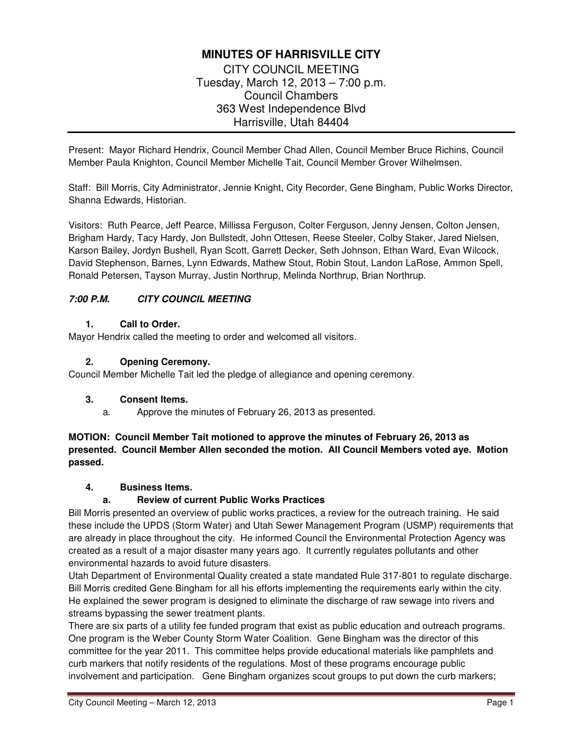# **MINUTES OF HARRISVILLE CITY**

CITY COUNCIL MEETING Tuesday, March 12, 2013 – 7:00 p.m. Council Chambers 363 West Independence Blvd Harrisville, Utah 84404

Present: Mayor Richard Hendrix, Council Member Chad Allen, Council Member Bruce Richins, Council Member Paula Knighton, Council Member Michelle Tait, Council Member Grover Wilhelmsen.

Staff: Bill Morris, City Administrator, Jennie Knight, City Recorder, Gene Bingham, Public Works Director, Shanna Edwards, Historian.

Visitors: Ruth Pearce, Jeff Pearce, Millissa Ferguson, Colter Ferguson, Jenny Jensen, Colton Jensen, Brigham Hardy, Tacy Hardy, Jon Bullstedt, John Ottesen, Reese Steeler, Colby Staker, Jared Nielsen, Karson Bailey, Jordyn Bushell, Ryan Scott, Garrett Decker, Seth Johnson, Ethan Ward, Evan Wilcock, David Stephenson, Barnes, Lynn Edwards, Mathew Stout, Robin Stout, Landon LaRose, Ammon Spell, Ronald Petersen, Tayson Murray, Justin Northrup, Melinda Northrup, Brian Northrup.

# **7:00 P.M. CITY COUNCIL MEETING**

### **1. Call to Order.**

Mayor Hendrix called the meeting to order and welcomed all visitors.

#### **2. Opening Ceremony.**

Council Member Michelle Tait led the pledge of allegiance and opening ceremony.

### **3. Consent Items.**

a. Approve the minutes of February 26, 2013 as presented.

# **MOTION: Council Member Tait motioned to approve the minutes of February 26, 2013 as presented. Council Member Allen seconded the motion. All Council Members voted aye. Motion passed.**

#### **4. Business Items.**

### **a. Review of current Public Works Practices**

Bill Morris presented an overview of public works practices, a review for the outreach training. He said these include the UPDS (Storm Water) and Utah Sewer Management Program (USMP) requirements that are already in place throughout the city. He informed Council the Environmental Protection Agency was created as a result of a major disaster many years ago. It currently regulates pollutants and other environmental hazards to avoid future disasters.

Utah Department of Environmental Quality created a state mandated Rule 317-801 to regulate discharge. Bill Morris credited Gene Bingham for all his efforts implementing the requirements early within the city. He explained the sewer program is designed to eliminate the discharge of raw sewage into rivers and streams bypassing the sewer treatment plants.

There are six parts of a utility fee funded program that exist as public education and outreach programs. One program is the Weber County Storm Water Coalition. Gene Bingham was the director of this committee for the year 2011. This committee helps provide educational materials like pamphlets and curb markers that notify residents of the regulations. Most of these programs encourage public involvement and participation. Gene Bingham organizes scout groups to put down the curb markers;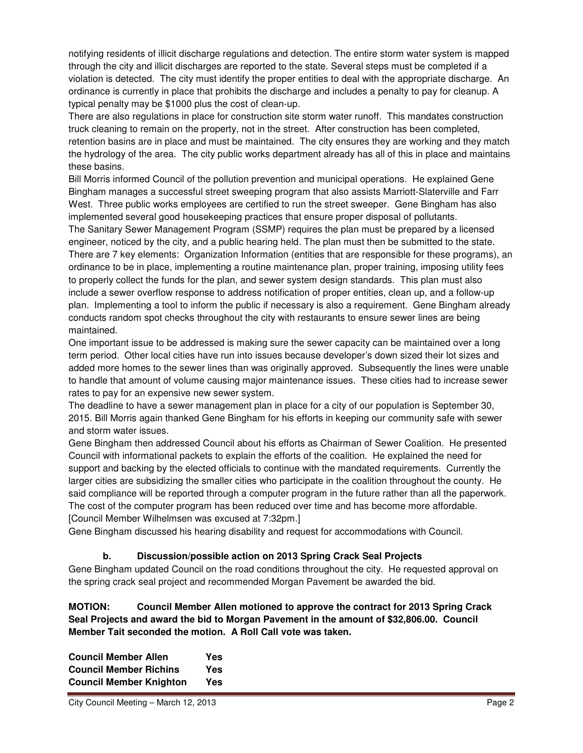notifying residents of illicit discharge regulations and detection. The entire storm water system is mapped through the city and illicit discharges are reported to the state. Several steps must be completed if a violation is detected. The city must identify the proper entities to deal with the appropriate discharge. An ordinance is currently in place that prohibits the discharge and includes a penalty to pay for cleanup. A typical penalty may be \$1000 plus the cost of clean-up.

There are also regulations in place for construction site storm water runoff. This mandates construction truck cleaning to remain on the property, not in the street. After construction has been completed, retention basins are in place and must be maintained. The city ensures they are working and they match the hydrology of the area. The city public works department already has all of this in place and maintains these basins.

Bill Morris informed Council of the pollution prevention and municipal operations. He explained Gene Bingham manages a successful street sweeping program that also assists Marriott-Slaterville and Farr West. Three public works employees are certified to run the street sweeper. Gene Bingham has also implemented several good housekeeping practices that ensure proper disposal of pollutants. The Sanitary Sewer Management Program (SSMP) requires the plan must be prepared by a licensed

engineer, noticed by the city, and a public hearing held. The plan must then be submitted to the state. There are 7 key elements: Organization Information (entities that are responsible for these programs), an ordinance to be in place, implementing a routine maintenance plan, proper training, imposing utility fees to properly collect the funds for the plan, and sewer system design standards. This plan must also include a sewer overflow response to address notification of proper entities, clean up, and a follow-up plan. Implementing a tool to inform the public if necessary is also a requirement. Gene Bingham already conducts random spot checks throughout the city with restaurants to ensure sewer lines are being maintained.

One important issue to be addressed is making sure the sewer capacity can be maintained over a long term period. Other local cities have run into issues because developer's down sized their lot sizes and added more homes to the sewer lines than was originally approved. Subsequently the lines were unable to handle that amount of volume causing major maintenance issues. These cities had to increase sewer rates to pay for an expensive new sewer system.

The deadline to have a sewer management plan in place for a city of our population is September 30, 2015. Bill Morris again thanked Gene Bingham for his efforts in keeping our community safe with sewer and storm water issues.

Gene Bingham then addressed Council about his efforts as Chairman of Sewer Coalition. He presented Council with informational packets to explain the efforts of the coalition. He explained the need for support and backing by the elected officials to continue with the mandated requirements. Currently the larger cities are subsidizing the smaller cities who participate in the coalition throughout the county. He said compliance will be reported through a computer program in the future rather than all the paperwork. The cost of the computer program has been reduced over time and has become more affordable. [Council Member Wilhelmsen was excused at 7:32pm.]

Gene Bingham discussed his hearing disability and request for accommodations with Council.

# **b. Discussion/possible action on 2013 Spring Crack Seal Projects**

Gene Bingham updated Council on the road conditions throughout the city. He requested approval on the spring crack seal project and recommended Morgan Pavement be awarded the bid.

**MOTION: Council Member Allen motioned to approve the contract for 2013 Spring Crack Seal Projects and award the bid to Morgan Pavement in the amount of \$32,806.00. Council Member Tait seconded the motion. A Roll Call vote was taken.** 

**Council Member Allen Yes Council Member Richins Yes Council Member Knighton Yes**